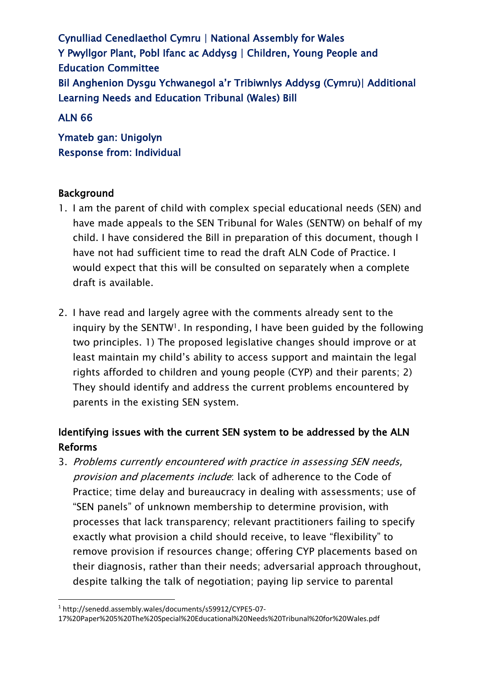Cynulliad Cenedlaethol Cymru | National Assembly for Wales Y Pwyllgor Plant, Pobl Ifanc ac Addysg | Children, Young People and Education Committee Bil Anghenion Dysgu Ychwanegol a'r Tribiwnlys Addysg (Cymru)| Additional Learning Needs and Education Tribunal (Wales) Bill

### ALN 66

Ymateb gan: Unigolyn Response from: Individual

### Background

- 1. I am the parent of child with complex special educational needs (SEN) and have made appeals to the SEN Tribunal for Wales (SENTW) on behalf of my child. I have considered the Bill in preparation of this document, though I have not had sufficient time to read the draft ALN Code of Practice. I would expect that this will be consulted on separately when a complete draft is available.
- 2. I have read and largely agree with the comments already sent to the inquiry by the SENTW1. In responding, I have been guided by the following two principles. 1) The proposed legislative changes should improve or at least maintain my child's ability to access support and maintain the legal rights afforded to children and young people (CYP) and their parents; 2) They should identify and address the current problems encountered by parents in the existing SEN system.

# Identifying issues with the current SEN system to be addressed by the ALN Reforms

3. Problems currently encountered with practice in assessing SEN needs, provision and placements include: lack of adherence to the Code of Practice; time delay and bureaucracy in dealing with assessments; use of "SEN panels" of unknown membership to determine provision, with processes that lack transparency; relevant practitioners failing to specify exactly what provision a child should receive, to leave "flexibility" to remove provision if resources change; offering CYP placements based on their diagnosis, rather than their needs; adversarial approach throughout, despite talking the talk of negotiation; paying lip service to parental

<sup>1</sup> http://senedd.assembly.wales/documents/s59912/CYPE5-07-

<sup>17%20</sup>Paper%205%20The%20Special%20Educational%20Needs%20Tribunal%20for%20Wales.pdf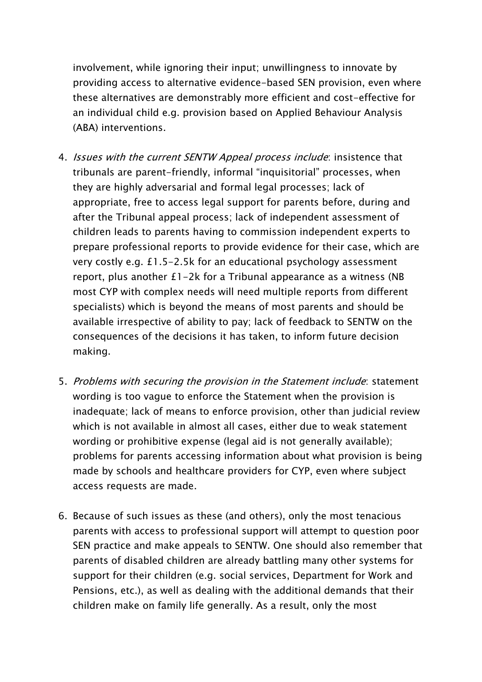involvement, while ignoring their input; unwillingness to innovate by providing access to alternative evidence-based SEN provision, even where these alternatives are demonstrably more efficient and cost-effective for an individual child e.g. provision based on Applied Behaviour Analysis (ABA) interventions.

- 4. *Issues with the current SENTW Appeal process include*: insistence that tribunals are parent-friendly, informal "inquisitorial" processes, when they are highly adversarial and formal legal processes; lack of appropriate, free to access legal support for parents before, during and after the Tribunal appeal process; lack of independent assessment of children leads to parents having to commission independent experts to prepare professional reports to provide evidence for their case, which are very costly e.g. £1.5-2.5k for an educational psychology assessment report, plus another £1-2k for a Tribunal appearance as a witness (NB most CYP with complex needs will need multiple reports from different specialists) which is beyond the means of most parents and should be available irrespective of ability to pay; lack of feedback to SENTW on the consequences of the decisions it has taken, to inform future decision making.
- 5. Problems with securing the provision in the Statement include: statement wording is too vague to enforce the Statement when the provision is inadequate; lack of means to enforce provision, other than judicial review which is not available in almost all cases, either due to weak statement wording or prohibitive expense (legal aid is not generally available); problems for parents accessing information about what provision is being made by schools and healthcare providers for CYP, even where subject access requests are made.
- 6. Because of such issues as these (and others), only the most tenacious parents with access to professional support will attempt to question poor SEN practice and make appeals to SENTW. One should also remember that parents of disabled children are already battling many other systems for support for their children (e.g. social services, Department for Work and Pensions, etc.), as well as dealing with the additional demands that their children make on family life generally. As a result, only the most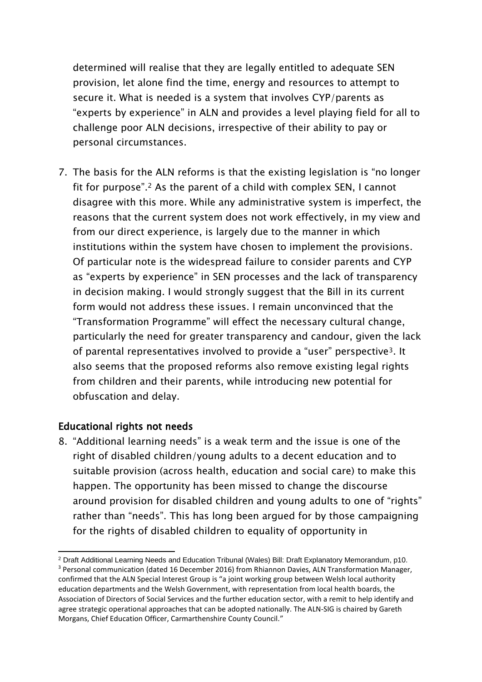determined will realise that they are legally entitled to adequate SEN provision, let alone find the time, energy and resources to attempt to secure it. What is needed is a system that involves CYP/parents as "experts by experience" in ALN and provides a level playing field for all to challenge poor ALN decisions, irrespective of their ability to pay or personal circumstances.

7. The basis for the ALN reforms is that the existing legislation is "no longer fit for purpose". <sup>2</sup> As the parent of a child with complex SEN, I cannot disagree with this more. While any administrative system is imperfect, the reasons that the current system does not work effectively, in my view and from our direct experience, is largely due to the manner in which institutions within the system have chosen to implement the provisions. Of particular note is the widespread failure to consider parents and CYP as "experts by experience" in SEN processes and the lack of transparency in decision making. I would strongly suggest that the Bill in its current form would not address these issues. I remain unconvinced that the "Transformation Programme" will effect the necessary cultural change, particularly the need for greater transparency and candour, given the lack of parental representatives involved to provide a "user" perspective3. It also seems that the proposed reforms also remove existing legal rights from children and their parents, while introducing new potential for obfuscation and delay.

## Educational rights not needs

8. "Additional learning needs" is a weak term and the issue is one of the right of disabled children/young adults to a decent education and to suitable provision (across health, education and social care) to make this happen. The opportunity has been missed to change the discourse around provision for disabled children and young adults to one of "rights" rather than "needs". This has long been argued for by those campaigning for the rights of disabled children to equality of opportunity in

<sup>1</sup> <sup>2</sup> Draft Additional Learning Needs and Education Tribunal (Wales) Bill: Draft Explanatory Memorandum, p10. <sup>3</sup> Personal communication (dated 16 December 2016) from Rhiannon Davies, ALN Transformation Manager, confirmed that the ALN Special Interest Group is "a joint working group between Welsh local authority education departments and the Welsh Government, with representation from local health boards, the Association of Directors of Social Services and the further education sector, with a remit to help identify and agree strategic operational approaches that can be adopted nationally. The ALN-SIG is chaired by Gareth Morgans, Chief Education Officer, Carmarthenshire County Council."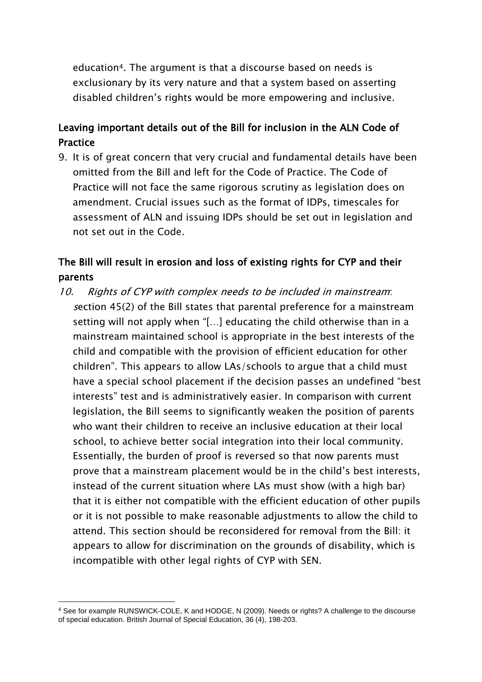education4. The argument is that a discourse based on needs is exclusionary by its very nature and that a system based on asserting disabled children's rights would be more empowering and inclusive.

# Leaving important details out of the Bill for inclusion in the ALN Code of **Practice**

9. It is of great concern that very crucial and fundamental details have been omitted from the Bill and left for the Code of Practice. The Code of Practice will not face the same rigorous scrutiny as legislation does on amendment. Crucial issues such as the format of IDPs, timescales for assessment of ALN and issuing IDPs should be set out in legislation and not set out in the Code.

# The Bill will result in erosion and loss of existing rights for CYP and their parents

10. Rights of CYP with complex needs to be included in mainstream: <sup>s</sup>ection 45(2) of the Bill states that parental preference for a mainstream setting will not apply when "[…] educating the child otherwise than in a mainstream maintained school is appropriate in the best interests of the child and compatible with the provision of efficient education for other children". This appears to allow LAs/schools to argue that a child must have a special school placement if the decision passes an undefined "best interests" test and is administratively easier. In comparison with current legislation, the Bill seems to significantly weaken the position of parents who want their children to receive an inclusive education at their local school, to achieve better social integration into their local community. Essentially, the burden of proof is reversed so that now parents must prove that a mainstream placement would be in the child's best interests, instead of the current situation where LAs must show (with a high bar) that it is either not compatible with the efficient education of other pupils or it is not possible to make reasonable adjustments to allow the child to attend. This section should be reconsidered for removal from the Bill: it appears to allow for discrimination on the grounds of disability, which is incompatible with other legal rights of CYP with SEN.

<sup>4</sup> See for example RUNSWICK-COLE, K and HODGE, N (2009). Needs or rights? A challenge to the discourse of special education. British Journal of Special Education, 36 (4), 198-203.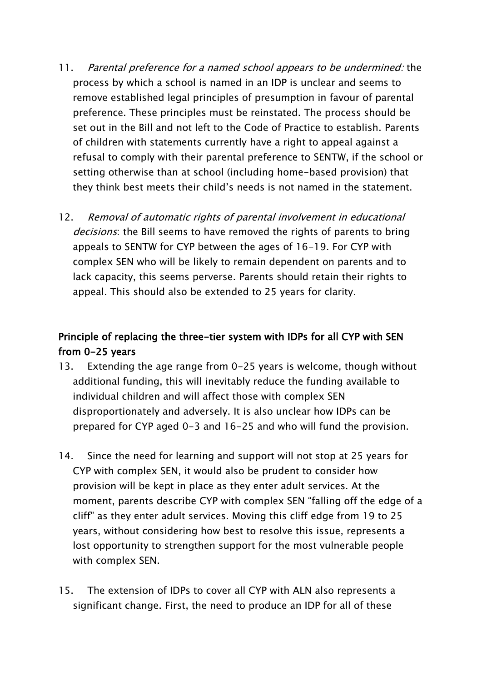- 11. Parental preference for a named school appears to be undermined: the process by which a school is named in an IDP is unclear and seems to remove established legal principles of presumption in favour of parental preference. These principles must be reinstated. The process should be set out in the Bill and not left to the Code of Practice to establish. Parents of children with statements currently have a right to appeal against a refusal to comply with their parental preference to SENTW, if the school or setting otherwise than at school (including home-based provision) that they think best meets their child's needs is not named in the statement.
- 12. Removal of automatic rights of parental involvement in educational decisions: the Bill seems to have removed the rights of parents to bring appeals to SENTW for CYP between the ages of 16-19. For CYP with complex SEN who will be likely to remain dependent on parents and to lack capacity, this seems perverse. Parents should retain their rights to appeal. This should also be extended to 25 years for clarity.

## Principle of replacing the three-tier system with IDPs for all CYP with SEN from 0-25 years

- 13. Extending the age range from 0-25 years is welcome, though without additional funding, this will inevitably reduce the funding available to individual children and will affect those with complex SEN disproportionately and adversely. It is also unclear how IDPs can be prepared for CYP aged 0-3 and 16-25 and who will fund the provision.
- 14. Since the need for learning and support will not stop at 25 years for CYP with complex SEN, it would also be prudent to consider how provision will be kept in place as they enter adult services. At the moment, parents describe CYP with complex SEN "falling off the edge of a cliff" as they enter adult services. Moving this cliff edge from 19 to 25 years, without considering how best to resolve this issue, represents a lost opportunity to strengthen support for the most vulnerable people with complex SEN.
- 15. The extension of IDPs to cover all CYP with ALN also represents a significant change. First, the need to produce an IDP for all of these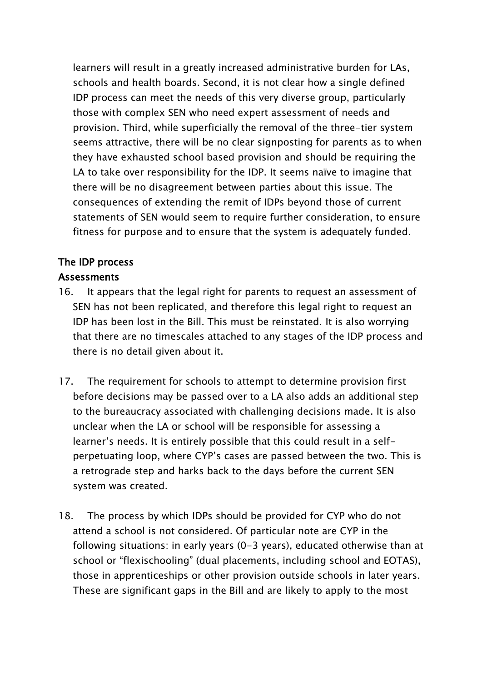learners will result in a greatly increased administrative burden for LAs, schools and health boards. Second, it is not clear how a single defined IDP process can meet the needs of this very diverse group, particularly those with complex SEN who need expert assessment of needs and provision. Third, while superficially the removal of the three-tier system seems attractive, there will be no clear signposting for parents as to when they have exhausted school based provision and should be requiring the LA to take over responsibility for the IDP. It seems naïve to imagine that there will be no disagreement between parties about this issue. The consequences of extending the remit of IDPs beyond those of current statements of SEN would seem to require further consideration, to ensure fitness for purpose and to ensure that the system is adequately funded.

#### The IDP process **Assessments**

- 16. It appears that the legal right for parents to request an assessment of SEN has not been replicated, and therefore this legal right to request an IDP has been lost in the Bill. This must be reinstated. It is also worrying that there are no timescales attached to any stages of the IDP process and there is no detail given about it.
- 17. The requirement for schools to attempt to determine provision first before decisions may be passed over to a LA also adds an additional step to the bureaucracy associated with challenging decisions made. It is also unclear when the LA or school will be responsible for assessing a learner's needs. It is entirely possible that this could result in a selfperpetuating loop, where CYP's cases are passed between the two. This is a retrograde step and harks back to the days before the current SEN system was created.
- 18. The process by which IDPs should be provided for CYP who do not attend a school is not considered. Of particular note are CYP in the following situations: in early years (0-3 years), educated otherwise than at school or "flexischooling" (dual placements, including school and EOTAS), those in apprenticeships or other provision outside schools in later years. These are significant gaps in the Bill and are likely to apply to the most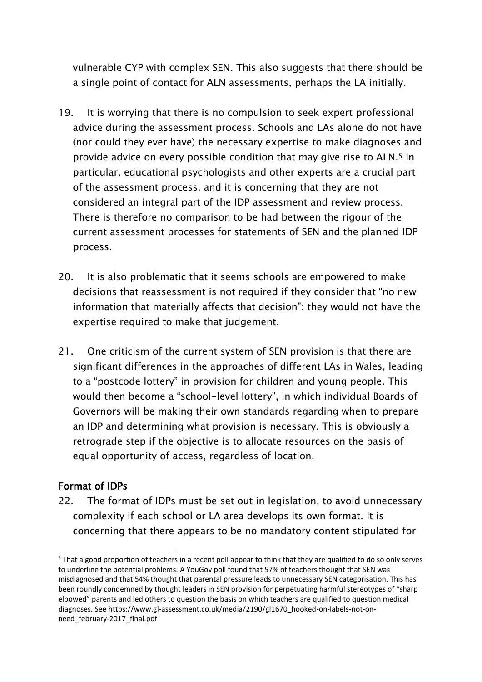vulnerable CYP with complex SEN. This also suggests that there should be a single point of contact for ALN assessments, perhaps the LA initially.

- 19. It is worrying that there is no compulsion to seek expert professional advice during the assessment process. Schools and LAs alone do not have (nor could they ever have) the necessary expertise to make diagnoses and provide advice on every possible condition that may give rise to ALN.<sup>5</sup> In particular, educational psychologists and other experts are a crucial part of the assessment process, and it is concerning that they are not considered an integral part of the IDP assessment and review process. There is therefore no comparison to be had between the rigour of the current assessment processes for statements of SEN and the planned IDP process.
- 20. It is also problematic that it seems schools are empowered to make decisions that reassessment is not required if they consider that "no new information that materially affects that decision": they would not have the expertise required to make that judgement.
- 21. One criticism of the current system of SEN provision is that there are significant differences in the approaches of different LAs in Wales, leading to a "postcode lottery" in provision for children and young people. This would then become a "school-level lottery", in which individual Boards of Governors will be making their own standards regarding when to prepare an IDP and determining what provision is necessary. This is obviously a retrograde step if the objective is to allocate resources on the basis of equal opportunity of access, regardless of location.

#### Format of IDPs

22. The format of IDPs must be set out in legislation, to avoid unnecessary complexity if each school or LA area develops its own format. It is concerning that there appears to be no mandatory content stipulated for

 $\overline{a}$ <sup>5</sup> That a good proportion of teachers in a recent poll appear to think that they are qualified to do so only serves to underline the potential problems. A YouGov poll found that 57% of teachers thought that SEN was misdiagnosed and that 54% thought that parental pressure leads to unnecessary SEN categorisation. This has been roundly condemned by thought leaders in SEN provision for perpetuating harmful stereotypes of "sharp elbowed" parents and led others to question the basis on which teachers are qualified to question medical diagnoses. See https://www.gl-assessment.co.uk/media/2190/gl1670\_hooked-on-labels-not-onneed\_february-2017\_final.pdf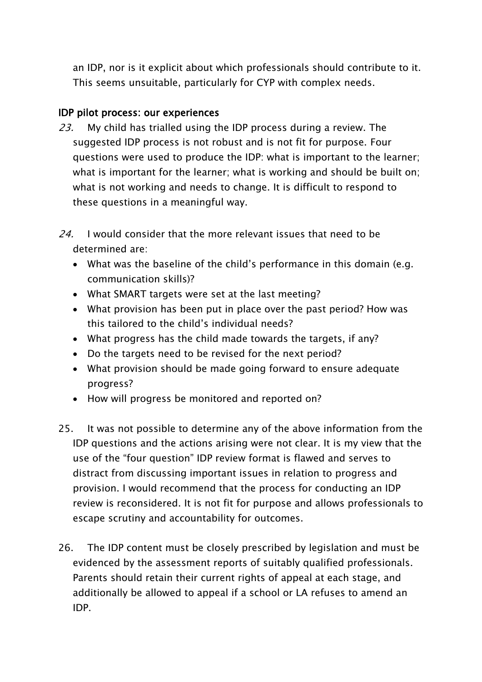an IDP, nor is it explicit about which professionals should contribute to it. This seems unsuitable, particularly for CYP with complex needs.

### IDP pilot process: our experiences

- 23. My child has trialled using the IDP process during a review. The suggested IDP process is not robust and is not fit for purpose. Four questions were used to produce the IDP: what is important to the learner; what is important for the learner; what is working and should be built on; what is not working and needs to change. It is difficult to respond to these questions in a meaningful way.
- $24.$  I would consider that the more relevant issues that need to be determined are:
	- What was the baseline of the child's performance in this domain (e.g. communication skills)?
	- What SMART targets were set at the last meeting?
	- What provision has been put in place over the past period? How was this tailored to the child's individual needs?
	- What progress has the child made towards the targets, if any?
	- Do the targets need to be revised for the next period?
	- What provision should be made going forward to ensure adequate progress?
	- How will progress be monitored and reported on?
- 25. It was not possible to determine any of the above information from the IDP questions and the actions arising were not clear. It is my view that the use of the "four question" IDP review format is flawed and serves to distract from discussing important issues in relation to progress and provision. I would recommend that the process for conducting an IDP review is reconsidered. It is not fit for purpose and allows professionals to escape scrutiny and accountability for outcomes.
- 26. The IDP content must be closely prescribed by legislation and must be evidenced by the assessment reports of suitably qualified professionals. Parents should retain their current rights of appeal at each stage, and additionally be allowed to appeal if a school or LA refuses to amend an IDP.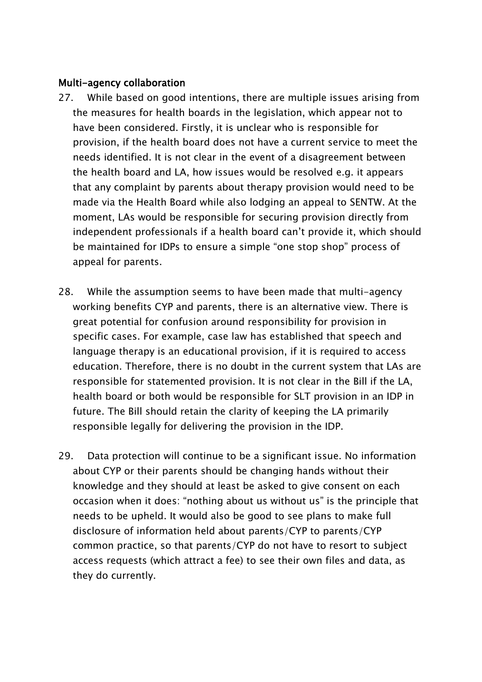#### Multi-agency collaboration

- 27. While based on good intentions, there are multiple issues arising from the measures for health boards in the legislation, which appear not to have been considered. Firstly, it is unclear who is responsible for provision, if the health board does not have a current service to meet the needs identified. It is not clear in the event of a disagreement between the health board and LA, how issues would be resolved e.g. it appears that any complaint by parents about therapy provision would need to be made via the Health Board while also lodging an appeal to SENTW. At the moment, LAs would be responsible for securing provision directly from independent professionals if a health board can't provide it, which should be maintained for IDPs to ensure a simple "one stop shop" process of appeal for parents.
- 28. While the assumption seems to have been made that multi-agency working benefits CYP and parents, there is an alternative view. There is great potential for confusion around responsibility for provision in specific cases. For example, case law has established that speech and language therapy is an educational provision, if it is required to access education. Therefore, there is no doubt in the current system that LAs are responsible for statemented provision. It is not clear in the Bill if the LA, health board or both would be responsible for SLT provision in an IDP in future. The Bill should retain the clarity of keeping the LA primarily responsible legally for delivering the provision in the IDP.
- 29. Data protection will continue to be a significant issue. No information about CYP or their parents should be changing hands without their knowledge and they should at least be asked to give consent on each occasion when it does: "nothing about us without us" is the principle that needs to be upheld. It would also be good to see plans to make full disclosure of information held about parents/CYP to parents/CYP common practice, so that parents/CYP do not have to resort to subject access requests (which attract a fee) to see their own files and data, as they do currently.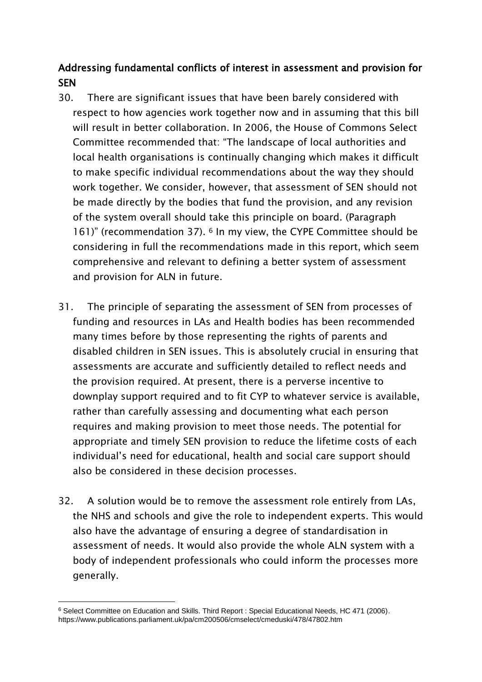# Addressing fundamental conflicts of interest in assessment and provision for **SEN**

- 30. There are significant issues that have been barely considered with respect to how agencies work together now and in assuming that this bill will result in better collaboration. In 2006, the House of Commons Select Committee recommended that: "The landscape of local authorities and local health organisations is continually changing which makes it difficult to make specific individual recommendations about the way they should work together. We consider, however, that assessment of SEN should not be made directly by the bodies that fund the provision, and any revision of the system overall should take this principle on board. (Paragraph 161)" (recommendation 37). <sup>6</sup> In my view, the CYPE Committee should be considering in full the recommendations made in this report, which seem comprehensive and relevant to defining a better system of assessment and provision for ALN in future.
- 31. The principle of separating the assessment of SEN from processes of funding and resources in LAs and Health bodies has been recommended many times before by those representing the rights of parents and disabled children in SEN issues. This is absolutely crucial in ensuring that assessments are accurate and sufficiently detailed to reflect needs and the provision required. At present, there is a perverse incentive to downplay support required and to fit CYP to whatever service is available, rather than carefully assessing and documenting what each person requires and making provision to meet those needs. The potential for appropriate and timely SEN provision to reduce the lifetime costs of each individual's need for educational, health and social care support should also be considered in these decision processes.
- 32. A solution would be to remove the assessment role entirely from LAs, the NHS and schools and give the role to independent experts. This would also have the advantage of ensuring a degree of standardisation in assessment of needs. It would also provide the whole ALN system with a body of independent professionals who could inform the processes more generally.

<sup>6</sup> Select Committee on Education and Skills. Third Report : Special Educational Needs, HC 471 (2006). https://www.publications.parliament.uk/pa/cm200506/cmselect/cmeduski/478/47802.htm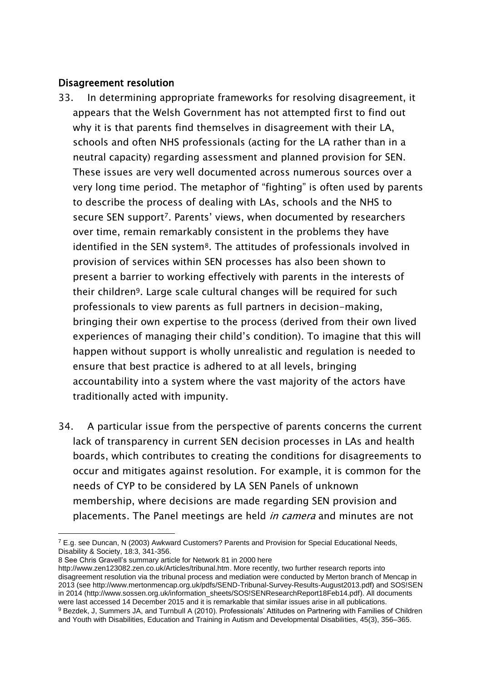#### Disagreement resolution

- 33. In determining appropriate frameworks for resolving disagreement, it appears that the Welsh Government has not attempted first to find out why it is that parents find themselves in disagreement with their LA, schools and often NHS professionals (acting for the LA rather than in a neutral capacity) regarding assessment and planned provision for SEN. These issues are very well documented across numerous sources over a very long time period. The metaphor of "fighting" is often used by parents to describe the process of dealing with LAs, schools and the NHS to secure SEN support<sup>7</sup>. Parents' views, when documented by researchers over time, remain remarkably consistent in the problems they have identified in the SEN system<sup>8</sup>. The attitudes of professionals involved in provision of services within SEN processes has also been shown to present a barrier to working effectively with parents in the interests of their children9. Large scale cultural changes will be required for such professionals to view parents as full partners in decision-making, bringing their own expertise to the process (derived from their own lived experiences of managing their child's condition). To imagine that this will happen without support is wholly unrealistic and regulation is needed to ensure that best practice is adhered to at all levels, bringing accountability into a system where the vast majority of the actors have traditionally acted with impunity.
- 34. A particular issue from the perspective of parents concerns the current lack of transparency in current SEN decision processes in LAs and health boards, which contributes to creating the conditions for disagreements to occur and mitigates against resolution. For example, it is common for the needs of CYP to be considered by LA SEN Panels of unknown membership, where decisions are made regarding SEN provision and placements. The Panel meetings are held *in camera* and minutes are not

 $7$  E.g. see Duncan, N (2003) Awkward Customers? Parents and Provision for Special Educational Needs, Disability & Society, 18:3, 341-356.

<sup>8</sup> See Chris Gravell's summary article for Network 81 in 2000 here

[http://www.zen123082.zen.co.uk/Articles/tribunal.htm.](http://www.zen123082.zen.co.uk/Articles/tribunal.htm) More recently, two further research reports into disagreement resolution via the tribunal process and mediation were conducted by Merton branch of Mencap in 2013 (se[e http://www.mertonmencap.org.uk/pdfs/SEND-Tribunal-Survey-Results-August2013.pdf\)](http://www.mertonmencap.org.uk/pdfs/SEND-Tribunal-Survey-Results-August2013.pdf) and SOS!SEN in 2014 [\(http://www.sossen.org.uk/information\\_sheets/SOS!SENResearchReport18Feb14.pdf\)](http://www.sossen.org.uk/information_sheets/SOS!SENResearchReport18Feb14.pdf). All documents were last accessed 14 December 2015 and it is remarkable that similar issues arise in all publications. <sup>9</sup> Bezdek, J, Summers JA, and Turnbull A (2010). Professionals' Attitudes on Partnering with Families of Children and Youth with Disabilities, Education and Training in Autism and Developmental Disabilities, 45(3), 356–365.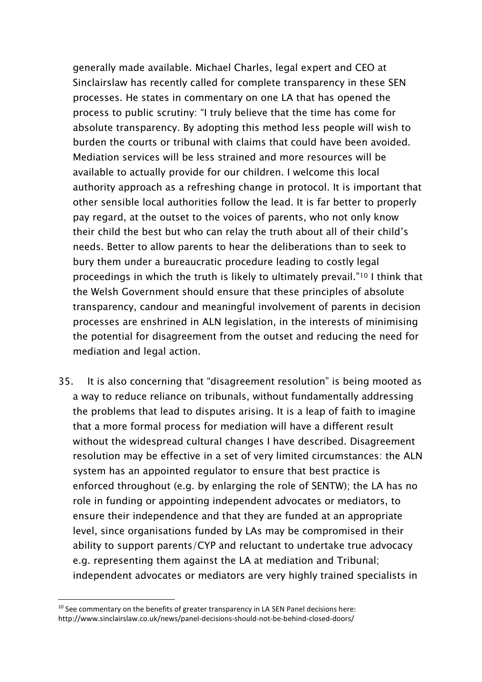generally made available. Michael Charles, legal expert and CEO at Sinclairslaw has recently called for complete transparency in these SEN processes. He states in commentary on one LA that has opened the process to public scrutiny: "I truly believe that the time has come for absolute transparency. By adopting this method less people will wish to burden the courts or tribunal with claims that could have been avoided. Mediation services will be less strained and more resources will be available to actually provide for our children. I welcome this local authority approach as a refreshing change in protocol. It is important that other sensible local authorities follow the lead. It is far better to properly pay regard, at the outset to the voices of parents, who not only know their child the best but who can relay the truth about all of their child's needs. Better to allow parents to hear the deliberations than to seek to bury them under a bureaucratic procedure leading to costly legal proceedings in which the truth is likely to ultimately prevail."<sup>10</sup> I think that the Welsh Government should ensure that these principles of absolute transparency, candour and meaningful involvement of parents in decision processes are enshrined in ALN legislation, in the interests of minimising the potential for disagreement from the outset and reducing the need for mediation and legal action.

35. It is also concerning that "disagreement resolution" is being mooted as a way to reduce reliance on tribunals, without fundamentally addressing the problems that lead to disputes arising. It is a leap of faith to imagine that a more formal process for mediation will have a different result without the widespread cultural changes I have described. Disagreement resolution may be effective in a set of very limited circumstances: the ALN system has an appointed regulator to ensure that best practice is enforced throughout (e.g. by enlarging the role of SENTW); the LA has no role in funding or appointing independent advocates or mediators, to ensure their independence and that they are funded at an appropriate level, since organisations funded by LAs may be compromised in their ability to support parents/CYP and reluctant to undertake true advocacy e.g. representing them against the LA at mediation and Tribunal; independent advocates or mediators are very highly trained specialists in

 $10$  See commentary on the benefits of greater transparency in LA SEN Panel decisions here: http://www.sinclairslaw.co.uk/news/panel-decisions-should-not-be-behind-closed-doors/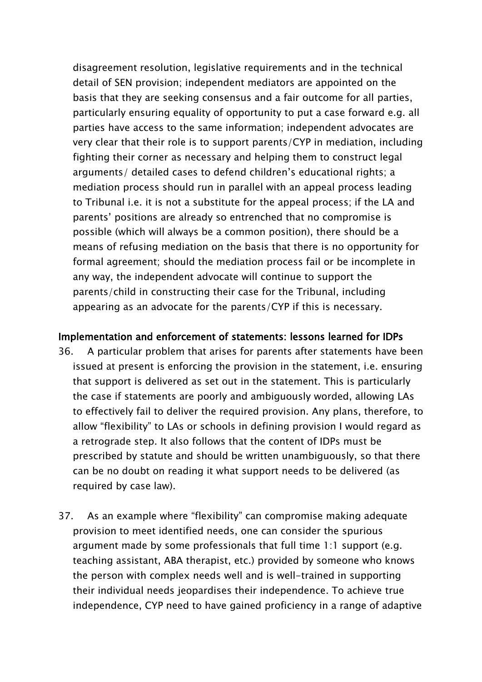disagreement resolution, legislative requirements and in the technical detail of SEN provision; independent mediators are appointed on the basis that they are seeking consensus and a fair outcome for all parties, particularly ensuring equality of opportunity to put a case forward e.g. all parties have access to the same information; independent advocates are very clear that their role is to support parents/CYP in mediation, including fighting their corner as necessary and helping them to construct legal arguments/ detailed cases to defend children's educational rights; a mediation process should run in parallel with an appeal process leading to Tribunal i.e. it is not a substitute for the appeal process; if the LA and parents' positions are already so entrenched that no compromise is possible (which will always be a common position), there should be a means of refusing mediation on the basis that there is no opportunity for formal agreement; should the mediation process fail or be incomplete in any way, the independent advocate will continue to support the parents/child in constructing their case for the Tribunal, including appearing as an advocate for the parents/CYP if this is necessary.

#### Implementation and enforcement of statements: lessons learned for IDPs

- 36. A particular problem that arises for parents after statements have been issued at present is enforcing the provision in the statement, i.e. ensuring that support is delivered as set out in the statement. This is particularly the case if statements are poorly and ambiguously worded, allowing LAs to effectively fail to deliver the required provision. Any plans, therefore, to allow "flexibility" to LAs or schools in defining provision I would regard as a retrograde step. It also follows that the content of IDPs must be prescribed by statute and should be written unambiguously, so that there can be no doubt on reading it what support needs to be delivered (as required by case law).
- 37. As an example where "flexibility" can compromise making adequate provision to meet identified needs, one can consider the spurious argument made by some professionals that full time 1:1 support (e.g. teaching assistant, ABA therapist, etc.) provided by someone who knows the person with complex needs well and is well-trained in supporting their individual needs jeopardises their independence. To achieve true independence, CYP need to have gained proficiency in a range of adaptive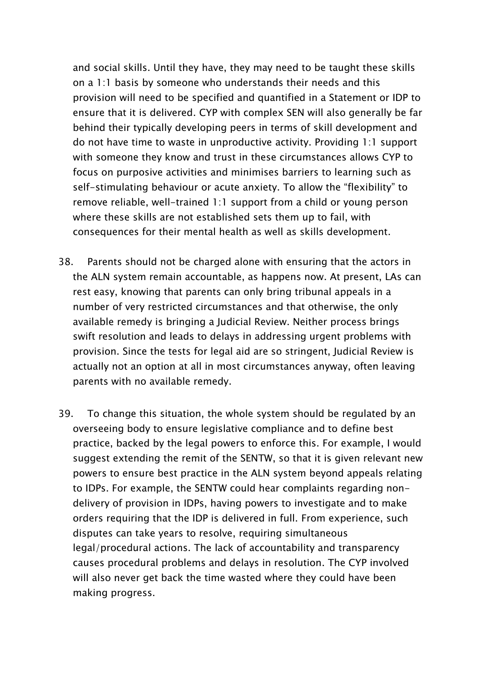and social skills. Until they have, they may need to be taught these skills on a 1:1 basis by someone who understands their needs and this provision will need to be specified and quantified in a Statement or IDP to ensure that it is delivered. CYP with complex SEN will also generally be far behind their typically developing peers in terms of skill development and do not have time to waste in unproductive activity. Providing 1:1 support with someone they know and trust in these circumstances allows CYP to focus on purposive activities and minimises barriers to learning such as self-stimulating behaviour or acute anxiety. To allow the "flexibility" to remove reliable, well-trained 1:1 support from a child or young person where these skills are not established sets them up to fail, with consequences for their mental health as well as skills development.

- 38. Parents should not be charged alone with ensuring that the actors in the ALN system remain accountable, as happens now. At present, LAs can rest easy, knowing that parents can only bring tribunal appeals in a number of very restricted circumstances and that otherwise, the only available remedy is bringing a Judicial Review. Neither process brings swift resolution and leads to delays in addressing urgent problems with provision. Since the tests for legal aid are so stringent, Judicial Review is actually not an option at all in most circumstances anyway, often leaving parents with no available remedy.
- 39. To change this situation, the whole system should be regulated by an overseeing body to ensure legislative compliance and to define best practice, backed by the legal powers to enforce this. For example, I would suggest extending the remit of the SENTW, so that it is given relevant new powers to ensure best practice in the ALN system beyond appeals relating to IDPs. For example, the SENTW could hear complaints regarding nondelivery of provision in IDPs, having powers to investigate and to make orders requiring that the IDP is delivered in full. From experience, such disputes can take years to resolve, requiring simultaneous legal/procedural actions. The lack of accountability and transparency causes procedural problems and delays in resolution. The CYP involved will also never get back the time wasted where they could have been making progress.